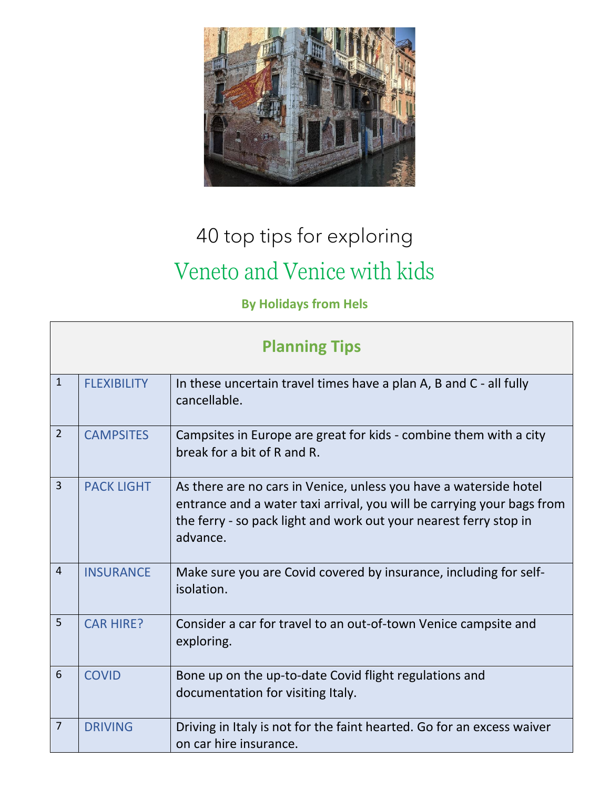

## 40 top tips for exploring Veneto and Venice with kids

**By Holidays from Hels**

| <b>Planning Tips</b> |                    |                                                                                                                                                                                                                              |  |
|----------------------|--------------------|------------------------------------------------------------------------------------------------------------------------------------------------------------------------------------------------------------------------------|--|
| $\mathbf{1}$         | <b>FLEXIBILITY</b> | In these uncertain travel times have a plan A, B and C - all fully<br>cancellable.                                                                                                                                           |  |
| $\overline{2}$       | <b>CAMPSITES</b>   | Campsites in Europe are great for kids - combine them with a city<br>break for a bit of R and R.                                                                                                                             |  |
| $\overline{3}$       | <b>PACK LIGHT</b>  | As there are no cars in Venice, unless you have a waterside hotel<br>entrance and a water taxi arrival, you will be carrying your bags from<br>the ferry - so pack light and work out your nearest ferry stop in<br>advance. |  |
| $\overline{4}$       | <b>INSURANCE</b>   | Make sure you are Covid covered by insurance, including for self-<br>isolation.                                                                                                                                              |  |
| 5                    | <b>CAR HIRE?</b>   | Consider a car for travel to an out-of-town Venice campsite and<br>exploring.                                                                                                                                                |  |
| 6                    | <b>COVID</b>       | Bone up on the up-to-date Covid flight regulations and<br>documentation for visiting Italy.                                                                                                                                  |  |
| $\overline{7}$       | <b>DRIVING</b>     | Driving in Italy is not for the faint hearted. Go for an excess waiver<br>on car hire insurance.                                                                                                                             |  |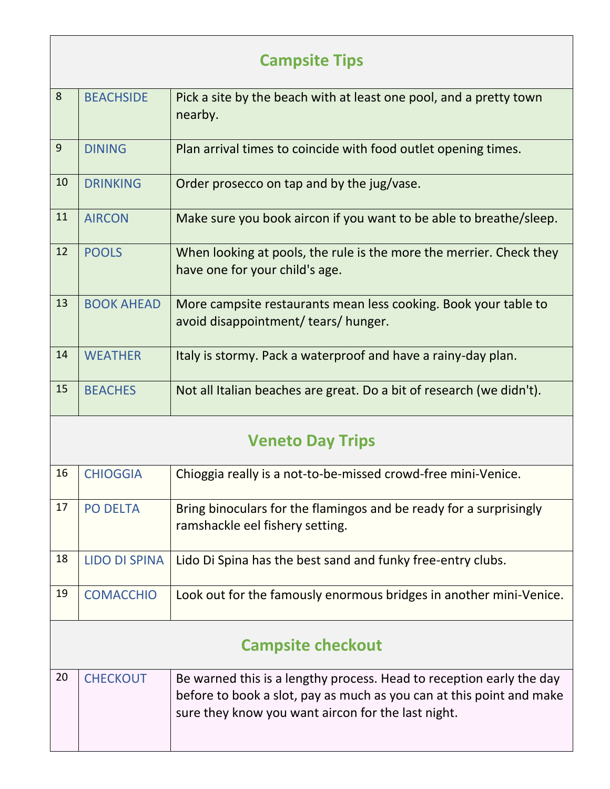| <b>Campsite Tips</b> |                   |                                                                                                         |  |  |
|----------------------|-------------------|---------------------------------------------------------------------------------------------------------|--|--|
| 8                    | <b>BEACHSIDE</b>  | Pick a site by the beach with at least one pool, and a pretty town<br>nearby.                           |  |  |
| 9                    | <b>DINING</b>     | Plan arrival times to coincide with food outlet opening times.                                          |  |  |
| 10                   | <b>DRINKING</b>   | Order prosecco on tap and by the jug/vase.                                                              |  |  |
| 11                   | <b>AIRCON</b>     | Make sure you book aircon if you want to be able to breathe/sleep.                                      |  |  |
| 12                   | <b>POOLS</b>      | When looking at pools, the rule is the more the merrier. Check they<br>have one for your child's age.   |  |  |
| 13                   | <b>BOOK AHEAD</b> | More campsite restaurants mean less cooking. Book your table to<br>avoid disappointment/ tears/ hunger. |  |  |
| 14                   | <b>WEATHER</b>    | Italy is stormy. Pack a waterproof and have a rainy-day plan.                                           |  |  |
| 15                   | <b>BEACHES</b>    | Not all Italian beaches are great. Do a bit of research (we didn't).                                    |  |  |

## **Veneto Day Trips**

| 16                       | <b>CHIOGGIA</b>      | Chioggia really is a not-to-be-missed crowd-free mini-Venice.                                                                                                                                      |
|--------------------------|----------------------|----------------------------------------------------------------------------------------------------------------------------------------------------------------------------------------------------|
| 17                       | <b>PO DELTA</b>      | Bring binoculars for the flamingos and be ready for a surprisingly<br>ramshackle eel fishery setting.                                                                                              |
| 18                       | <b>LIDO DI SPINA</b> | Lido Di Spina has the best sand and funky free-entry clubs.                                                                                                                                        |
| 19                       | <b>COMACCHIO</b>     | Look out for the famously enormous bridges in another mini-Venice.                                                                                                                                 |
| <b>Campsite checkout</b> |                      |                                                                                                                                                                                                    |
| 20                       | <b>CHECKOUT</b>      | Be warned this is a lengthy process. Head to reception early the day<br>before to book a slot, pay as much as you can at this point and make<br>sure they know you want aircon for the last night. |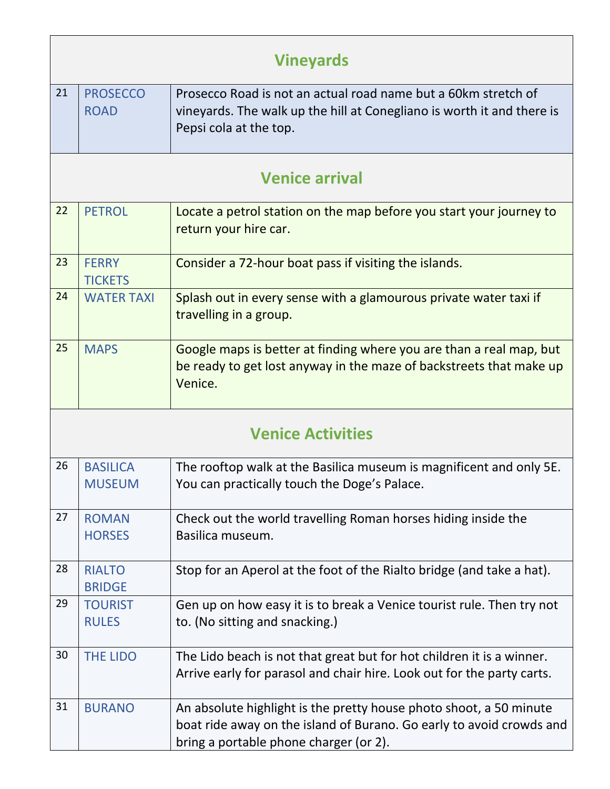| <b>Vineyards</b>         |                                  |                                                                                                                                                                                      |  |  |
|--------------------------|----------------------------------|--------------------------------------------------------------------------------------------------------------------------------------------------------------------------------------|--|--|
| 21                       | <b>PROSECCO</b><br><b>ROAD</b>   | Prosecco Road is not an actual road name but a 60km stretch of<br>vineyards. The walk up the hill at Conegliano is worth it and there is<br>Pepsi cola at the top.                   |  |  |
| <b>Venice arrival</b>    |                                  |                                                                                                                                                                                      |  |  |
| 22                       | <b>PETROL</b>                    | Locate a petrol station on the map before you start your journey to<br>return your hire car.                                                                                         |  |  |
| 23                       | <b>FERRY</b><br><b>TICKETS</b>   | Consider a 72-hour boat pass if visiting the islands.                                                                                                                                |  |  |
| 24                       | <b>WATER TAXI</b>                | Splash out in every sense with a glamourous private water taxi if<br>travelling in a group.                                                                                          |  |  |
| 25                       | <b>MAPS</b>                      | Google maps is better at finding where you are than a real map, but<br>be ready to get lost anyway in the maze of backstreets that make up<br>Venice.                                |  |  |
| <b>Venice Activities</b> |                                  |                                                                                                                                                                                      |  |  |
| 26                       | <b>BASILICA</b><br><b>MUSEUM</b> | The rooftop walk at the Basilica museum is magnificent and only 5E.<br>You can practically touch the Doge's Palace.                                                                  |  |  |
| 27                       | <b>ROMAN</b><br><b>HORSES</b>    | Check out the world travelling Roman horses hiding inside the<br>Basilica museum.                                                                                                    |  |  |
| 28                       | <b>RIALTO</b><br><b>BRIDGE</b>   | Stop for an Aperol at the foot of the Rialto bridge (and take a hat).                                                                                                                |  |  |
| 29                       | <b>TOURIST</b><br><b>RULES</b>   | Gen up on how easy it is to break a Venice tourist rule. Then try not<br>to. (No sitting and snacking.)                                                                              |  |  |
| 30                       | THE LIDO                         | The Lido beach is not that great but for hot children it is a winner.<br>Arrive early for parasol and chair hire. Look out for the party carts.                                      |  |  |
| 31                       | <b>BURANO</b>                    | An absolute highlight is the pretty house photo shoot, a 50 minute<br>boat ride away on the island of Burano. Go early to avoid crowds and<br>bring a portable phone charger (or 2). |  |  |